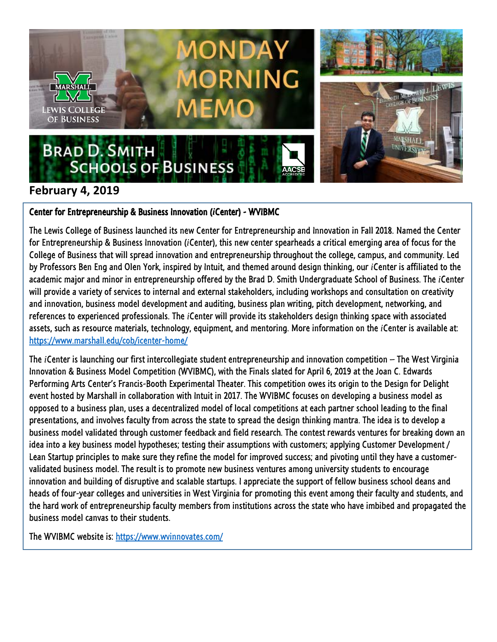

## **February 4, 2019**

## Center for Entrepreneurship & Business Innovation (*i*Center) - WVIBMC

The Lewis College of Business launched its new Center for Entrepreneurship and Innovation in Fall 2018. Named the Center for Entrepreneurship & Business Innovation (*i*Center), this new center spearheads a critical emerging area of focus for the College of Business that will spread innovation and entrepreneurship throughout the college, campus, and community. Led by Professors Ben Eng and Olen York, inspired by Intuit, and themed around design thinking, our *i*Center is affiliated to the academic major and minor in entrepreneurship offered by the Brad D. Smith Undergraduate School of Business. The *i*Center will provide a variety of services to internal and external stakeholders, including workshops and consultation on creativity and innovation, business model development and auditing, business plan writing, pitch development, networking, and references to experienced professionals. The *i*Center will provide its stakeholders design thinking space with associated assets, such as resource materials, technology, equipment, and mentoring. More information on the *i*Center is available at: <https://www.marshall.edu/cob/icenter-home/>

The *i*Center is launching our first intercollegiate student entrepreneurship and innovation competition – The West Virginia Innovation & Business Model Competition (WVIBMC), with the Finals slated for April 6, 2019 at the Joan C. Edwards Performing Arts Center's Francis-Booth Experimental Theater. This competition owes its origin to the Design for Delight event hosted by Marshall in collaboration with Intuit in 2017. The WVIBMC focuses on developing a business model as opposed to a business plan, uses a decentralized model of local competitions at each partner school leading to the final presentations, and involves faculty from across the state to spread the design thinking mantra. The idea is to develop a business model validated through customer feedback and field research. The contest rewards ventures for breaking down an idea into a key business model hypotheses; testing their assumptions with customers; applying Customer Development / Lean Startup principles to make sure they refine the model for improved success; and pivoting until they have a customervalidated business model. The result is to promote new business ventures among university students to encourage innovation and building of disruptive and scalable startups. I appreciate the support of fellow business school deans and heads of four-year colleges and universities in West Virginia for promoting this event among their faculty and students, and the hard work of entrepreneurship faculty members from institutions across the state who have imbibed and propagated the business model canvas to their students.

The WVIBMC website is:<https://www.wvinnovates.com/>